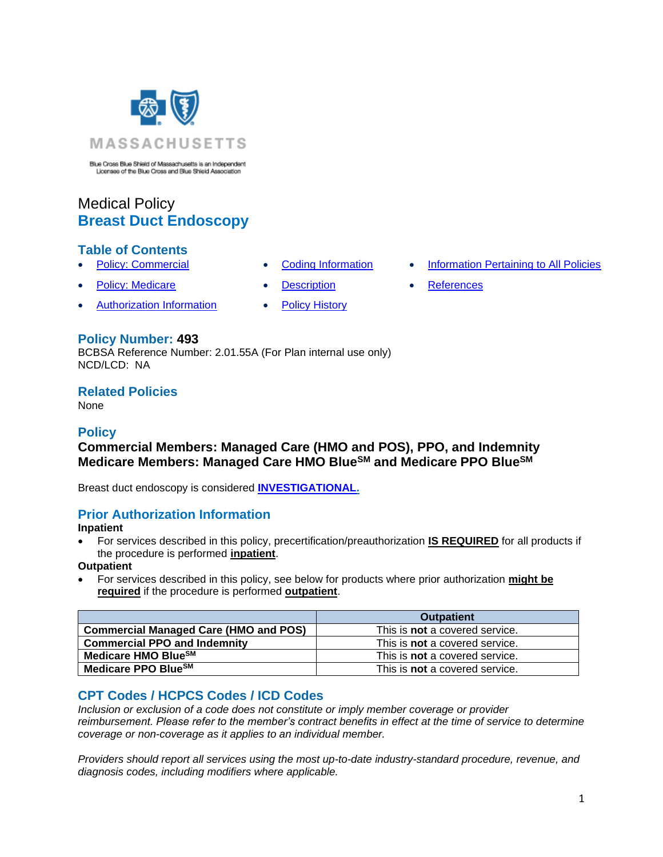

Blue Cross Blue Shield of Massachusetts is an Independent<br>Licenses of the Blue Cross and Blue Shield Association

# Medical Policy **Breast Duct Endoscopy**

### **Table of Contents**

- 
- 
- [Authorization Information](#page-0-2) [Policy History](#page-1-2)
- 
- **[Policy: Commercial](#page-0-0) [Coding Information](#page-0-1) [Information Pertaining to All Policies](#page-1-0)**
- **[Policy: Medicare](#page-0-0) [Description](#page-1-1) [References](#page-2-0)**

## **Policy Number: 493**

BCBSA Reference Number: 2.01.55A (For Plan internal use only) NCD/LCD: NA

### **Related Policies**

None

### **Policy**

## <span id="page-0-0"></span>**Commercial Members: Managed Care (HMO and POS), PPO, and Indemnity Medicare Members: Managed Care HMO BlueSM and Medicare PPO BlueSM**

Breast duct endoscopy is considered **[INVESTIGATIONAL.](https://www.bluecrossma.org/medical-policies/sites/g/files/csphws2091/files/acquiadam-assets/Definition%20of%20Med%20Nec%20Inv%20Not%20Med%20Nec%20prn.pdf#page=1)**

### <span id="page-0-2"></span>**Prior Authorization Information**

**Inpatient**

• For services described in this policy, precertification/preauthorization **IS REQUIRED** for all products if the procedure is performed **inpatient**.

**Outpatient**

• For services described in this policy, see below for products where prior authorization **might be required** if the procedure is performed **outpatient**.

|                                              | <b>Outpatient</b>                     |
|----------------------------------------------|---------------------------------------|
| <b>Commercial Managed Care (HMO and POS)</b> | This is <b>not</b> a covered service. |
| <b>Commercial PPO and Indemnity</b>          | This is <b>not</b> a covered service. |
| Medicare HMO Blue <sup>SM</sup>              | This is <b>not</b> a covered service. |
| Medicare PPO BlueSM                          | This is <b>not</b> a covered service. |

# <span id="page-0-1"></span>**CPT Codes / HCPCS Codes / ICD Codes**

*Inclusion or exclusion of a code does not constitute or imply member coverage or provider reimbursement. Please refer to the member's contract benefits in effect at the time of service to determine coverage or non-coverage as it applies to an individual member.*

*Providers should report all services using the most up-to-date industry-standard procedure, revenue, and diagnosis codes, including modifiers where applicable.*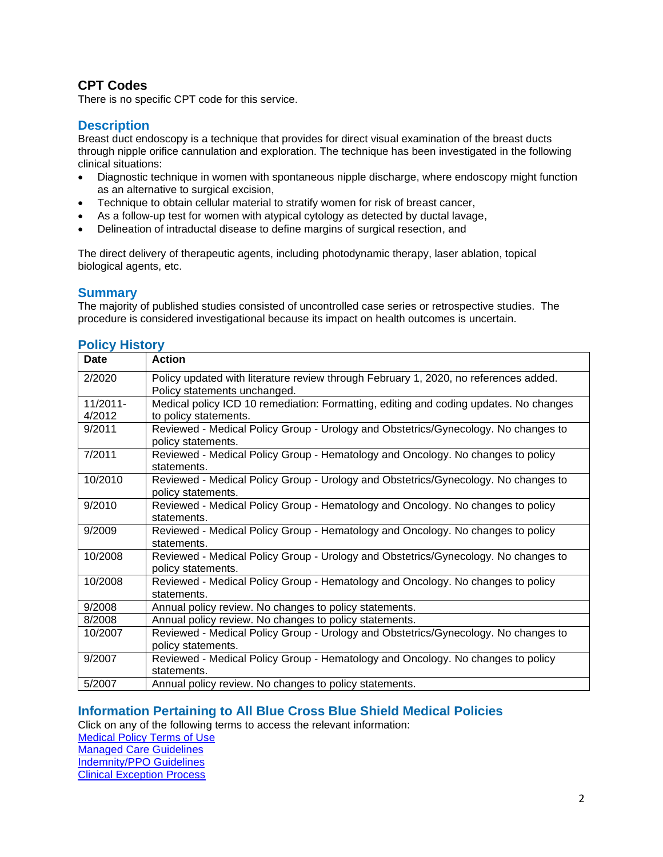# **CPT Codes**

There is no specific CPT code for this service.

### <span id="page-1-1"></span>**Description**

Breast duct endoscopy is a technique that provides for direct visual examination of the breast ducts through nipple orifice cannulation and exploration. The technique has been investigated in the following clinical situations:

- Diagnostic technique in women with spontaneous nipple discharge, where endoscopy might function as an alternative to surgical excision,
- Technique to obtain cellular material to stratify women for risk of breast cancer,
- As a follow-up test for women with atypical cytology as detected by ductal lavage,
- Delineation of intraductal disease to define margins of surgical resection, and

The direct delivery of therapeutic agents, including photodynamic therapy, laser ablation, topical biological agents, etc.

### **Summary**

The majority of published studies consisted of uncontrolled case series or retrospective studies. The procedure is considered investigational because its impact on health outcomes is uncertain.

### <span id="page-1-2"></span>**Policy History**

| Date        | <b>Action</b>                                                                                            |
|-------------|----------------------------------------------------------------------------------------------------------|
| 2/2020      | Policy updated with literature review through February 1, 2020, no references added.                     |
|             | Policy statements unchanged.                                                                             |
| $11/2011 -$ | Medical policy ICD 10 remediation: Formatting, editing and coding updates. No changes                    |
| 4/2012      | to policy statements.                                                                                    |
| 9/2011      | Reviewed - Medical Policy Group - Urology and Obstetrics/Gynecology. No changes to<br>policy statements. |
| 7/2011      | Reviewed - Medical Policy Group - Hematology and Oncology. No changes to policy<br>statements.           |
| 10/2010     | Reviewed - Medical Policy Group - Urology and Obstetrics/Gynecology. No changes to<br>policy statements. |
| 9/2010      | Reviewed - Medical Policy Group - Hematology and Oncology. No changes to policy<br>statements.           |
| 9/2009      | Reviewed - Medical Policy Group - Hematology and Oncology. No changes to policy<br>statements.           |
| 10/2008     | Reviewed - Medical Policy Group - Urology and Obstetrics/Gynecology. No changes to<br>policy statements. |
| 10/2008     | Reviewed - Medical Policy Group - Hematology and Oncology. No changes to policy<br>statements.           |
| 9/2008      | Annual policy review. No changes to policy statements.                                                   |
| 8/2008      | Annual policy review. No changes to policy statements.                                                   |
| 10/2007     | Reviewed - Medical Policy Group - Urology and Obstetrics/Gynecology. No changes to<br>policy statements. |
| 9/2007      | Reviewed - Medical Policy Group - Hematology and Oncology. No changes to policy<br>statements.           |
| 5/2007      | Annual policy review. No changes to policy statements.                                                   |

### <span id="page-1-0"></span>**[Information Pertaining to All Blue Cross Blue Shield Medical Policies](#page-1-0)**

Click on any of the following terms to access the relevant information:

[Medical Policy Terms of Use](https://www.bluecrossma.org/medical-policies/sites/g/files/csphws2091/files/acquiadam-assets/Medical_Policy_Terms_of_Use_prn.pdf) [Managed Care Guidelines](https://www.bluecrossma.org/medical-policies/sites/g/files/csphws2091/files/acquiadam-assets/Managed_Care_Guidelines_prn.pdf) [Indemnity/PPO Guidelines](https://www.bluecrossma.org/medical-policies/sites/g/files/csphws2091/files/acquiadam-assets/Indemnity_and_PPO_Guidelines_prn.pdf)

[Clinical Exception Process](https://www.bluecrossma.org/medical-policies/sites/g/files/csphws2091/files/acquiadam-assets/Clinical_Exception_Process_prn.pdf)